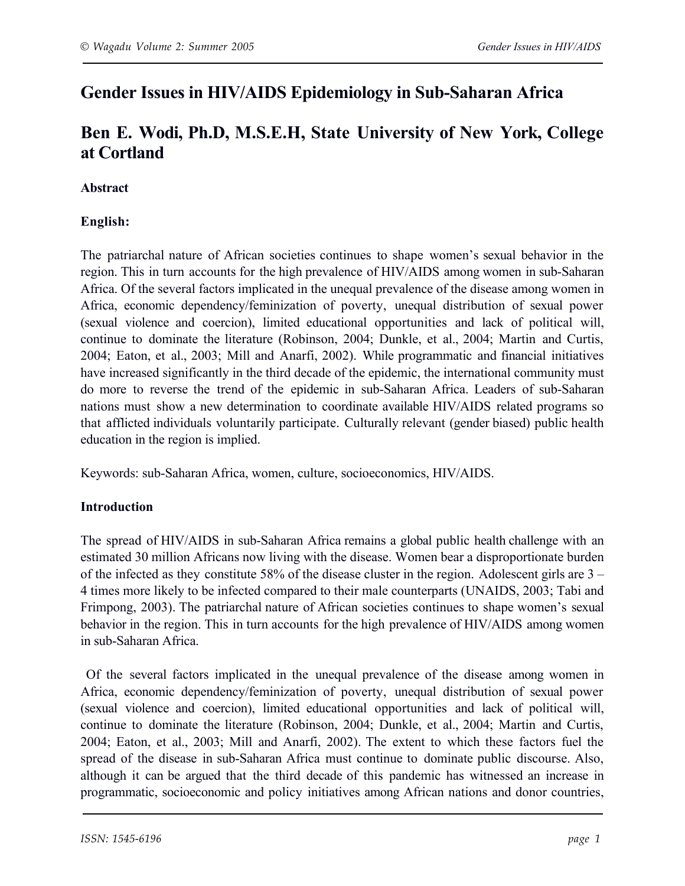# **Gender Issues in HIV/AIDS Epidemiology in Sub-Saharan Africa**

# **Ben E. Wodi, Ph.D, M.S.E.H, State University of New York, College at Cortland**

## **Abstract**

# **English:**

The patriarchal nature of African societies continues to shape women's sexual behavior in the region. This in turn accounts for the high prevalence of HIV/AIDS among women in sub-Saharan Africa. Of the several factors implicated in the unequal prevalence of the disease among women in Africa, economic dependency/feminization of poverty, unequal distribution of sexual power (sexual violence and coercion), limited educational opportunities and lack of political will, continue to dominate the literature (Robinson, 2004; Dunkle, et al., 2004; Martin and Curtis, 2004; Eaton, et al., 2003; Mill and Anarfi, 2002). While programmatic and financial initiatives have increased significantly in the third decade of the epidemic, the international community must do more to reverse the trend of the epidemic in sub-Saharan Africa. Leaders of sub-Saharan nations must show a new determination to coordinate available HIV/AIDS related programs so that afflicted individuals voluntarily participate. Culturally relevant (gender biased) public health education in the region is implied.

Keywords: sub-Saharan Africa, women, culture, socioeconomics, HIV/AIDS.

# **Introduction**

The spread of HIV/AIDS in sub-Saharan Africa remains a global public health challenge with an estimated 30 million Africans now living with the disease. Women bear a disproportionate burden of the infected as they constitute 58% of the disease cluster in the region. Adolescent girls are 3 – 4 times more likely to be infected compared to their male counterparts (UNAIDS, 2003; Tabi and Frimpong, 2003). The patriarchal nature of African societies continues to shape women's sexual behavior in the region. This in turn accounts for the high prevalence of HIV/AIDS among women in sub-Saharan Africa.

Of the several factors implicated in the unequal prevalence of the disease among women in Africa, economic dependency/feminization of poverty, unequal distribution of sexual power (sexual violence and coercion), limited educational opportunities and lack of political will, continue to dominate the literature (Robinson, 2004; Dunkle, et al., 2004; Martin and Curtis, 2004; Eaton, et al., 2003; Mill and Anarfi, 2002). The extent to which these factors fuel the spread of the disease in sub-Saharan Africa must continue to dominate public discourse. Also, although it can be argued that the third decade of this pandemic has witnessed an increase in programmatic, socioeconomic and policy initiatives among African nations and donor countries,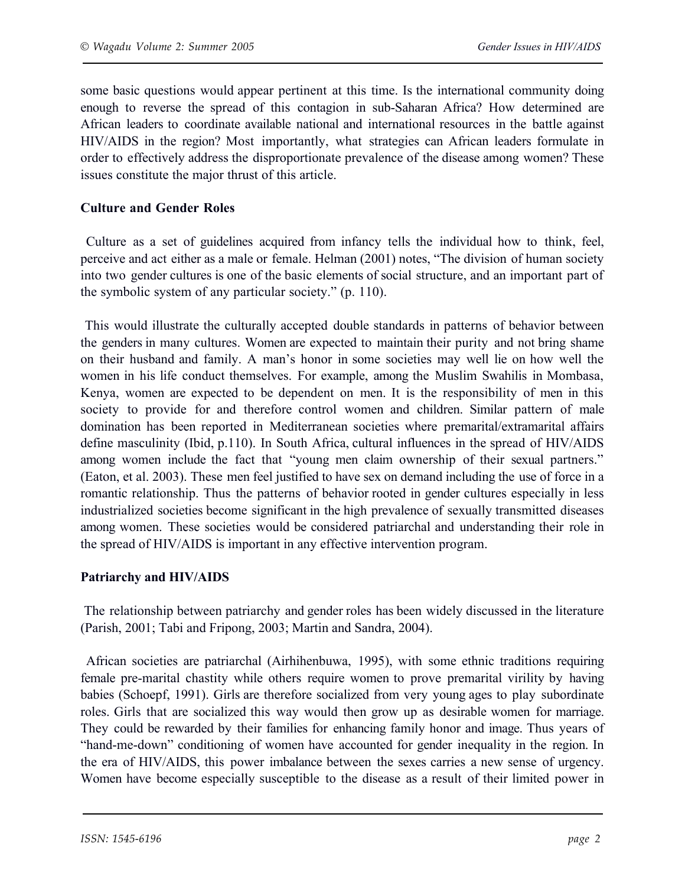some basic questions would appear pertinent at this time. Is the international community doing enough to reverse the spread of this contagion in sub-Saharan Africa? How determined are African leaders to coordinate available national and international resources in the battle against HIV/AIDS in the region? Most importantly, what strategies can African leaders formulate in order to effectively address the disproportionate prevalence of the disease among women? These issues constitute the major thrust of this article.

#### **Culture and Gender Roles**

Culture as a set of guidelines acquired from infancy tells the individual how to think, feel, perceive and act either as a male or female. Helman (2001) notes, "The division of human society into two gender cultures is one of the basic elements of social structure, and an important part of the symbolic system of any particular society." (p. 110).

This would illustrate the culturally accepted double standards in patterns of behavior between the genders in many cultures. Women are expected to maintain their purity and not bring shame on their husband and family. A man's honor in some societies may well lie on how well the women in his life conduct themselves. For example, among the Muslim Swahilis in Mombasa, Kenya, women are expected to be dependent on men. It is the responsibility of men in this society to provide for and therefore control women and children. Similar pattern of male domination has been reported in Mediterranean societies where premarital/extramarital affairs define masculinity (Ibid, p.110). In South Africa, cultural influences in the spread of HIV/AIDS among women include the fact that "young men claim ownership of their sexual partners." (Eaton, et al. 2003). These men feel justified to have sex on demand including the use of force in a romantic relationship. Thus the patterns of behavior rooted in gender cultures especially in less industrialized societies become significant in the high prevalence of sexually transmitted diseases among women. These societies would be considered patriarchal and understanding their role in the spread of HIV/AIDS is important in any effective intervention program.

#### **Patriarchy and HIV/AIDS**

The relationship between patriarchy and gender roles has been widely discussed in the literature (Parish, 2001; Tabi and Fripong, 2003; Martin and Sandra, 2004).

African societies are patriarchal (Airhihenbuwa, 1995), with some ethnic traditions requiring female pre-marital chastity while others require women to prove premarital virility by having babies (Schoepf, 1991). Girls are therefore socialized from very young ages to play subordinate roles. Girls that are socialized this way would then grow up as desirable women for marriage. They could be rewarded by their families for enhancing family honor and image. Thus years of "hand-me-down" conditioning of women have accounted for gender inequality in the region. In the era of HIV/AIDS, this power imbalance between the sexes carries a new sense of urgency. Women have become especially susceptible to the disease as a result of their limited power in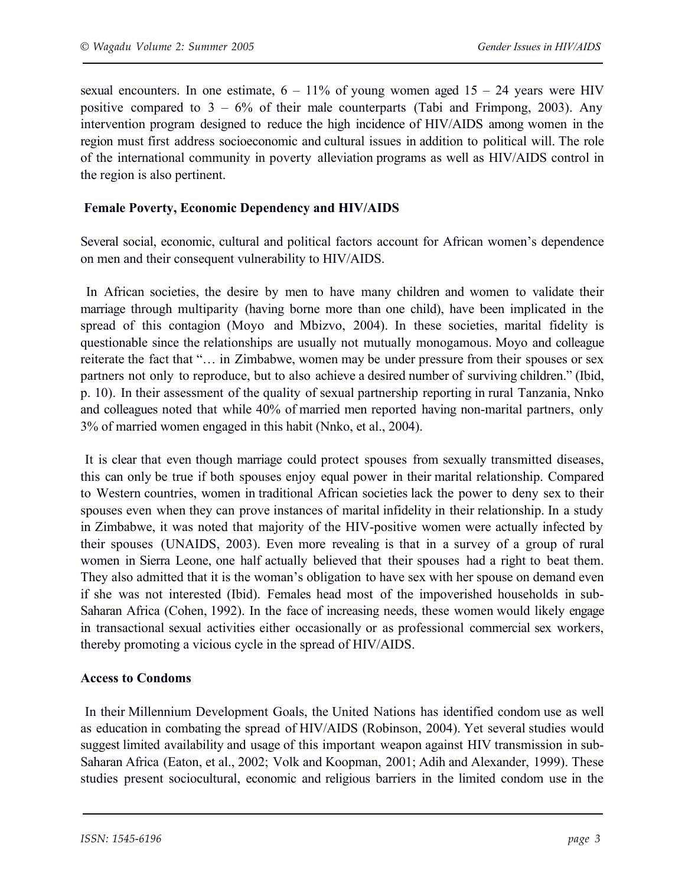sexual encounters. In one estimate,  $6 - 11\%$  of young women aged  $15 - 24$  years were HIV positive compared to  $3 - 6\%$  of their male counterparts (Tabi and Frimpong, 2003). Any intervention program designed to reduce the high incidence of HIV/AIDS among women in the region must first address socioeconomic and cultural issues in addition to political will. The role of the international community in poverty alleviation programs as well as HIV/AIDS control in the region is also pertinent.

### **Female Poverty, Economic Dependency and HIV/AIDS**

Several social, economic, cultural and political factors account for African women's dependence on men and their consequent vulnerability to HIV/AIDS.

In African societies, the desire by men to have many children and women to validate their marriage through multiparity (having borne more than one child), have been implicated in the spread of this contagion (Moyo and Mbizvo, 2004). In these societies, marital fidelity is questionable since the relationships are usually not mutually monogamous. Moyo and colleague reiterate the fact that "… in Zimbabwe, women may be under pressure from their spouses or sex partners not only to reproduce, but to also achieve a desired number of surviving children." (Ibid, p. 10). In their assessment of the quality of sexual partnership reporting in rural Tanzania, Nnko and colleagues noted that while 40% of married men reported having non-marital partners, only 3% of married women engaged in this habit (Nnko, et al., 2004).

It is clear that even though marriage could protect spouses from sexually transmitted diseases, this can only be true if both spouses enjoy equal power in their marital relationship. Compared to Western countries, women in traditional African societies lack the power to deny sex to their spouses even when they can prove instances of marital infidelity in their relationship. In a study in Zimbabwe, it was noted that majority of the HIV-positive women were actually infected by their spouses (UNAIDS, 2003). Even more revealing is that in a survey of a group of rural women in Sierra Leone, one half actually believed that their spouses had a right to beat them. They also admitted that it is the woman's obligation to have sex with her spouse on demand even if she was not interested (Ibid). Females head most of the impoverished households in sub-Saharan Africa (Cohen, 1992). In the face of increasing needs, these women would likely engage in transactional sexual activities either occasionally or as professional commercial sex workers, thereby promoting a vicious cycle in the spread of HIV/AIDS.

### **Access to Condoms**

In their Millennium Development Goals, the United Nations has identified condom use as well as education in combating the spread of HIV/AIDS (Robinson, 2004). Yet several studies would suggest limited availability and usage of this important weapon against HIV transmission in sub-Saharan Africa (Eaton, et al., 2002; Volk and Koopman, 2001; Adih and Alexander, 1999). These studies present sociocultural, economic and religious barriers in the limited condom use in the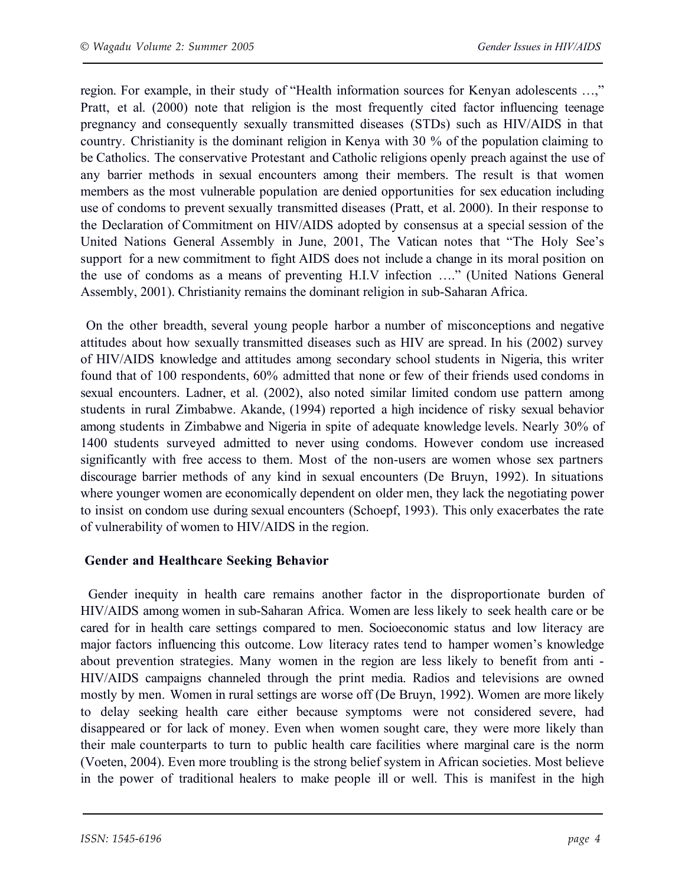region. For example, in their study of "Health information sources for Kenyan adolescents …," Pratt, et al. (2000) note that religion is the most frequently cited factor influencing teenage pregnancy and consequently sexually transmitted diseases (STDs) such as HIV/AIDS in that country. Christianity is the dominant religion in Kenya with 30 % of the population claiming to be Catholics. The conservative Protestant and Catholic religions openly preach against the use of any barrier methods in sexual encounters among their members. The result is that women members as the most vulnerable population are denied opportunities for sex education including use of condoms to prevent sexually transmitted diseases (Pratt, et al. 2000). In their response to the Declaration of Commitment on HIV/AIDS adopted by consensus at a special session of the United Nations General Assembly in June, 2001, The Vatican notes that "The Holy See's support for a new commitment to fight AIDS does not include a change in its moral position on the use of condoms as a means of preventing H.I.V infection …." (United Nations General Assembly, 2001). Christianity remains the dominant religion in sub-Saharan Africa.

On the other breadth, several young people harbor a number of misconceptions and negative attitudes about how sexually transmitted diseases such as HIV are spread. In his (2002) survey of HIV/AIDS knowledge and attitudes among secondary school students in Nigeria, this writer found that of 100 respondents, 60% admitted that none or few of their friends used condoms in sexual encounters. Ladner, et al. (2002), also noted similar limited condom use pattern among students in rural Zimbabwe. Akande, (1994) reported a high incidence of risky sexual behavior among students in Zimbabwe and Nigeria in spite of adequate knowledge levels. Nearly 30% of 1400 students surveyed admitted to never using condoms. However condom use increased significantly with free access to them. Most of the non-users are women whose sex partners discourage barrier methods of any kind in sexual encounters (De Bruyn, 1992). In situations where younger women are economically dependent on older men, they lack the negotiating power to insist on condom use during sexual encounters (Schoepf, 1993). This only exacerbates the rate of vulnerability of women to HIV/AIDS in the region.

### **Gender and Healthcare Seeking Behavior**

Gender inequity in health care remains another factor in the disproportionate burden of HIV/AIDS among women in sub-Saharan Africa. Women are less likely to seek health care or be cared for in health care settings compared to men. Socioeconomic status and low literacy are major factors influencing this outcome. Low literacy rates tend to hamper women's knowledge about prevention strategies. Many women in the region are less likely to benefit from anti - HIV/AIDS campaigns channeled through the print media. Radios and televisions are owned mostly by men. Women in rural settings are worse off (De Bruyn, 1992). Women are more likely to delay seeking health care either because symptoms were not considered severe, had disappeared or for lack of money. Even when women sought care, they were more likely than their male counterparts to turn to public health care facilities where marginal care is the norm (Voeten, 2004). Even more troubling is the strong belief system in African societies. Most believe in the power of traditional healers to make people ill or well. This is manifest in the high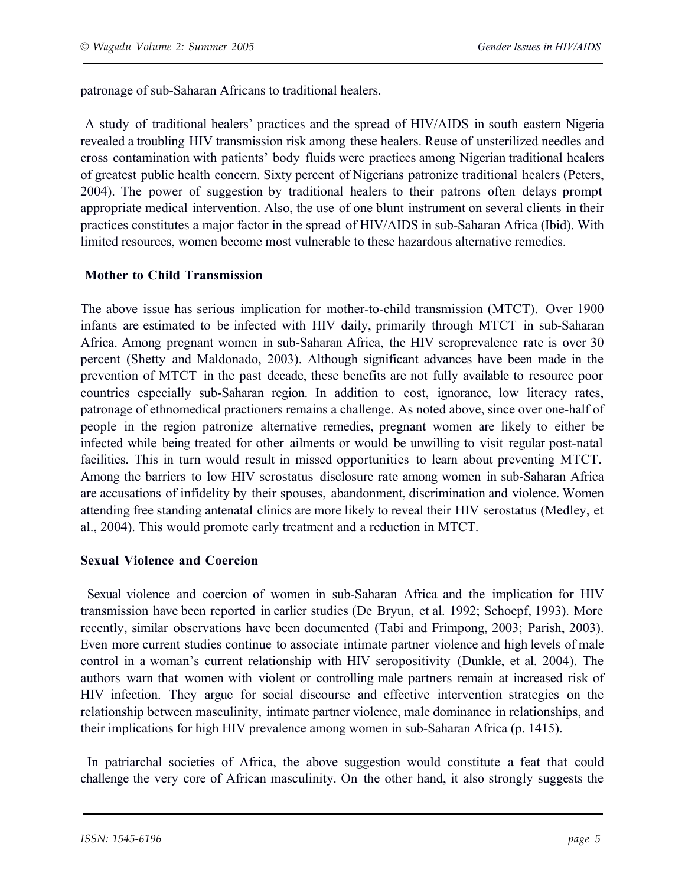patronage of sub-Saharan Africans to traditional healers.

A study of traditional healers' practices and the spread of HIV/AIDS in south eastern Nigeria revealed a troubling HIV transmission risk among these healers. Reuse of unsterilized needles and cross contamination with patients' body fluids were practices among Nigerian traditional healers of greatest public health concern. Sixty percent of Nigerians patronize traditional healers (Peters, 2004). The power of suggestion by traditional healers to their patrons often delays prompt appropriate medical intervention. Also, the use of one blunt instrument on several clients in their practices constitutes a major factor in the spread of HIV/AIDS in sub-Saharan Africa (Ibid). With limited resources, women become most vulnerable to these hazardous alternative remedies.

#### **Mother to Child Transmission**

The above issue has serious implication for mother-to-child transmission (MTCT). Over 1900 infants are estimated to be infected with HIV daily, primarily through MTCT in sub-Saharan Africa. Among pregnant women in sub-Saharan Africa, the HIV seroprevalence rate is over 30 percent (Shetty and Maldonado, 2003). Although significant advances have been made in the prevention of MTCT in the past decade, these benefits are not fully available to resource poor countries especially sub-Saharan region. In addition to cost, ignorance, low literacy rates, patronage of ethnomedical practioners remains a challenge. As noted above, since over one-half of people in the region patronize alternative remedies, pregnant women are likely to either be infected while being treated for other ailments or would be unwilling to visit regular post-natal facilities. This in turn would result in missed opportunities to learn about preventing MTCT. Among the barriers to low HIV serostatus disclosure rate among women in sub-Saharan Africa are accusations of infidelity by their spouses, abandonment, discrimination and violence. Women attending free standing antenatal clinics are more likely to reveal their HIV serostatus (Medley, et al., 2004). This would promote early treatment and a reduction in MTCT.

#### **Sexual Violence and Coercion**

Sexual violence and coercion of women in sub-Saharan Africa and the implication for HIV transmission have been reported in earlier studies (De Bryun, et al. 1992; Schoepf, 1993). More recently, similar observations have been documented (Tabi and Frimpong, 2003; Parish, 2003). Even more current studies continue to associate intimate partner violence and high levels of male control in a woman's current relationship with HIV seropositivity (Dunkle, et al. 2004). The authors warn that women with violent or controlling male partners remain at increased risk of HIV infection. They argue for social discourse and effective intervention strategies on the relationship between masculinity, intimate partner violence, male dominance in relationships, and their implications for high HIV prevalence among women in sub-Saharan Africa (p. 1415).

In patriarchal societies of Africa, the above suggestion would constitute a feat that could challenge the very core of African masculinity. On the other hand, it also strongly suggests the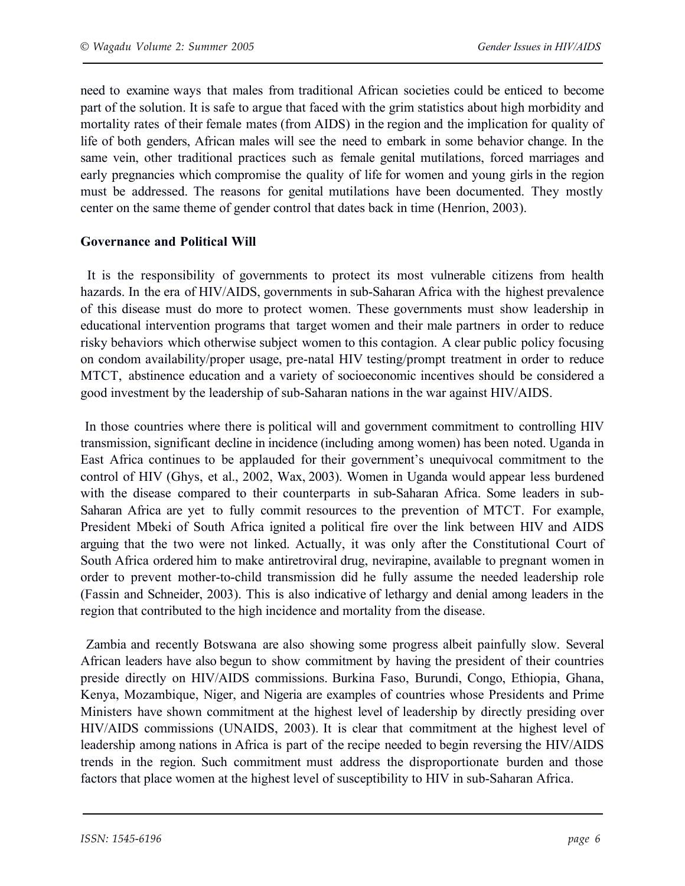need to examine ways that males from traditional African societies could be enticed to become part of the solution. It is safe to argue that faced with the grim statistics about high morbidity and mortality rates of their female mates (from AIDS) in the region and the implication for quality of life of both genders, African males will see the need to embark in some behavior change. In the same vein, other traditional practices such as female genital mutilations, forced marriages and early pregnancies which compromise the quality of life for women and young girls in the region must be addressed. The reasons for genital mutilations have been documented. They mostly center on the same theme of gender control that dates back in time (Henrion, 2003).

#### **Governance and Political Will**

It is the responsibility of governments to protect its most vulnerable citizens from health hazards. In the era of HIV/AIDS, governments in sub-Saharan Africa with the highest prevalence of this disease must do more to protect women. These governments must show leadership in educational intervention programs that target women and their male partners in order to reduce risky behaviors which otherwise subject women to this contagion. A clear public policy focusing on condom availability/proper usage, pre-natal HIV testing/prompt treatment in order to reduce MTCT, abstinence education and a variety of socioeconomic incentives should be considered a good investment by the leadership of sub-Saharan nations in the war against HIV/AIDS.

In those countries where there is political will and government commitment to controlling HIV transmission, significant decline in incidence (including among women) has been noted. Uganda in East Africa continues to be applauded for their government's unequivocal commitment to the control of HIV (Ghys, et al., 2002, Wax, 2003). Women in Uganda would appear less burdened with the disease compared to their counterparts in sub-Saharan Africa. Some leaders in sub-Saharan Africa are yet to fully commit resources to the prevention of MTCT. For example, President Mbeki of South Africa ignited a political fire over the link between HIV and AIDS arguing that the two were not linked. Actually, it was only after the Constitutional Court of South Africa ordered him to make antiretroviral drug, nevirapine, available to pregnant women in order to prevent mother-to-child transmission did he fully assume the needed leadership role (Fassin and Schneider, 2003). This is also indicative of lethargy and denial among leaders in the region that contributed to the high incidence and mortality from the disease.

Zambia and recently Botswana are also showing some progress albeit painfully slow. Several African leaders have also begun to show commitment by having the president of their countries preside directly on HIV/AIDS commissions. Burkina Faso, Burundi, Congo, Ethiopia, Ghana, Kenya, Mozambique, Niger, and Nigeria are examples of countries whose Presidents and Prime Ministers have shown commitment at the highest level of leadership by directly presiding over HIV/AIDS commissions (UNAIDS, 2003). It is clear that commitment at the highest level of leadership among nations in Africa is part of the recipe needed to begin reversing the HIV/AIDS trends in the region. Such commitment must address the disproportionate burden and those factors that place women at the highest level of susceptibility to HIV in sub-Saharan Africa.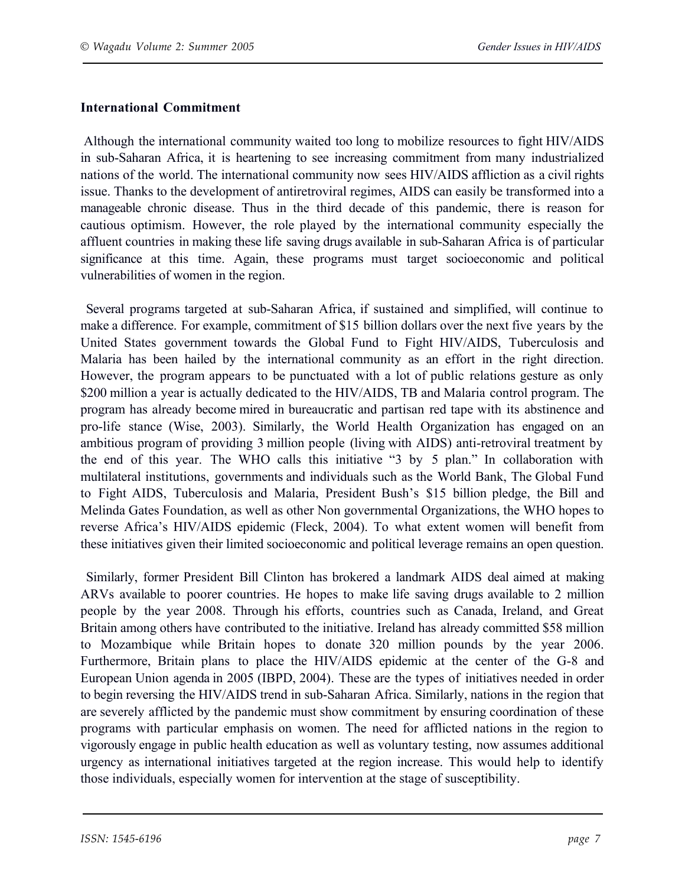## **International Commitment**

 Although the international community waited too long to mobilize resources to fight HIV/AIDS in sub-Saharan Africa, it is heartening to see increasing commitment from many industrialized nations of the world. The international community now sees HIV/AIDS affliction as a civil rights issue. Thanks to the development of antiretroviral regimes, AIDS can easily be transformed into a manageable chronic disease. Thus in the third decade of this pandemic, there is reason for cautious optimism. However, the role played by the international community especially the affluent countries in making these life saving drugs available in sub-Saharan Africa is of particular significance at this time. Again, these programs must target socioeconomic and political vulnerabilities of women in the region.

Several programs targeted at sub-Saharan Africa, if sustained and simplified, will continue to make a difference. For example, commitment of \$15 billion dollars over the next five years by the United States government towards the Global Fund to Fight HIV/AIDS, Tuberculosis and Malaria has been hailed by the international community as an effort in the right direction. However, the program appears to be punctuated with a lot of public relations gesture as only \$200 million a year is actually dedicated to the HIV/AIDS, TB and Malaria control program. The program has already become mired in bureaucratic and partisan red tape with its abstinence and pro-life stance (Wise, 2003). Similarly, the World Health Organization has engaged on an ambitious program of providing 3 million people (living with AIDS) anti-retroviral treatment by the end of this year. The WHO calls this initiative "3 by 5 plan." In collaboration with multilateral institutions, governments and individuals such as the World Bank, The Global Fund to Fight AIDS, Tuberculosis and Malaria, President Bush's \$15 billion pledge, the Bill and Melinda Gates Foundation, as well as other Non governmental Organizations, the WHO hopes to reverse Africa's HIV/AIDS epidemic (Fleck, 2004). To what extent women will benefit from these initiatives given their limited socioeconomic and political leverage remains an open question.

Similarly, former President Bill Clinton has brokered a landmark AIDS deal aimed at making ARVs available to poorer countries. He hopes to make life saving drugs available to 2 million people by the year 2008. Through his efforts, countries such as Canada, Ireland, and Great Britain among others have contributed to the initiative. Ireland has already committed \$58 million to Mozambique while Britain hopes to donate 320 million pounds by the year 2006. Furthermore, Britain plans to place the HIV/AIDS epidemic at the center of the G-8 and European Union agenda in 2005 (IBPD, 2004). These are the types of initiatives needed in order to begin reversing the HIV/AIDS trend in sub-Saharan Africa. Similarly, nations in the region that are severely afflicted by the pandemic must show commitment by ensuring coordination of these programs with particular emphasis on women. The need for afflicted nations in the region to vigorously engage in public health education as well as voluntary testing, now assumes additional urgency as international initiatives targeted at the region increase. This would help to identify those individuals, especially women for intervention at the stage of susceptibility.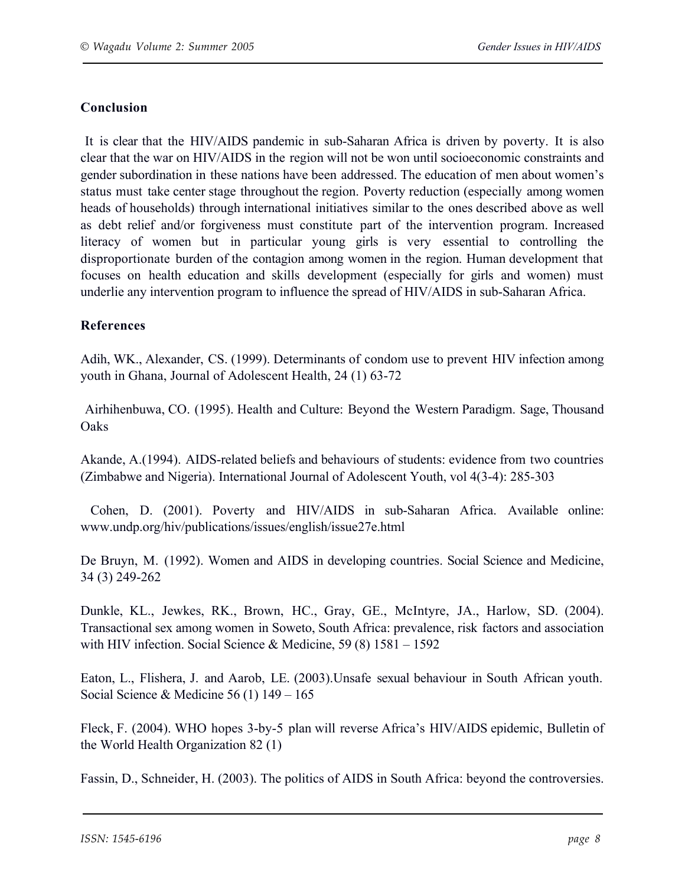# **Conclusion**

It is clear that the HIV/AIDS pandemic in sub-Saharan Africa is driven by poverty. It is also clear that the war on HIV/AIDS in the region will not be won until socioeconomic constraints and gender subordination in these nations have been addressed. The education of men about women's status must take center stage throughout the region. Poverty reduction (especially among women heads of households) through international initiatives similar to the ones described above as well as debt relief and/or forgiveness must constitute part of the intervention program. Increased literacy of women but in particular young girls is very essential to controlling the disproportionate burden of the contagion among women in the region. Human development that focuses on health education and skills development (especially for girls and women) must underlie any intervention program to influence the spread of HIV/AIDS in sub-Saharan Africa.

### **References**

Adih, WK., Alexander, CS. (1999). Determinants of condom use to prevent HIV infection among youth in Ghana, Journal of Adolescent Health, 24 (1) 63-72

Airhihenbuwa, CO. (1995). Health and Culture: Beyond the Western Paradigm. Sage, Thousand **Oaks** 

Akande, A.(1994). AIDS-related beliefs and behaviours of students: evidence from two countries (Zimbabwe and Nigeria). International Journal of Adolescent Youth, vol 4(3-4): 285-303

Cohen, D. (2001). Poverty and HIV/AIDS in sub-Saharan Africa. Available online: www.undp.org/hiv/publications/issues/english/issue27e.html

De Bruyn, M. (1992). Women and AIDS in developing countries. Social Science and Medicine, 34 (3) 249-262

Dunkle, KL., Jewkes, RK., Brown, HC., Gray, GE., McIntyre, JA., Harlow, SD. (2004). Transactional sex among women in Soweto, South Africa: prevalence, risk factors and association with HIV infection. Social Science & Medicine, 59 (8) 1581 – 1592

Eaton, L., Flishera, J. and Aarob, LE. (2003).Unsafe sexual behaviour in South African youth. Social Science & Medicine 56 (1) 149 – 165

Fleck, F. (2004). WHO hopes 3-by-5 plan will reverse Africa's HIV/AIDS epidemic, Bulletin of the World Health Organization 82 (1)

Fassin, D., Schneider, H. (2003). The politics of AIDS in South Africa: beyond the controversies.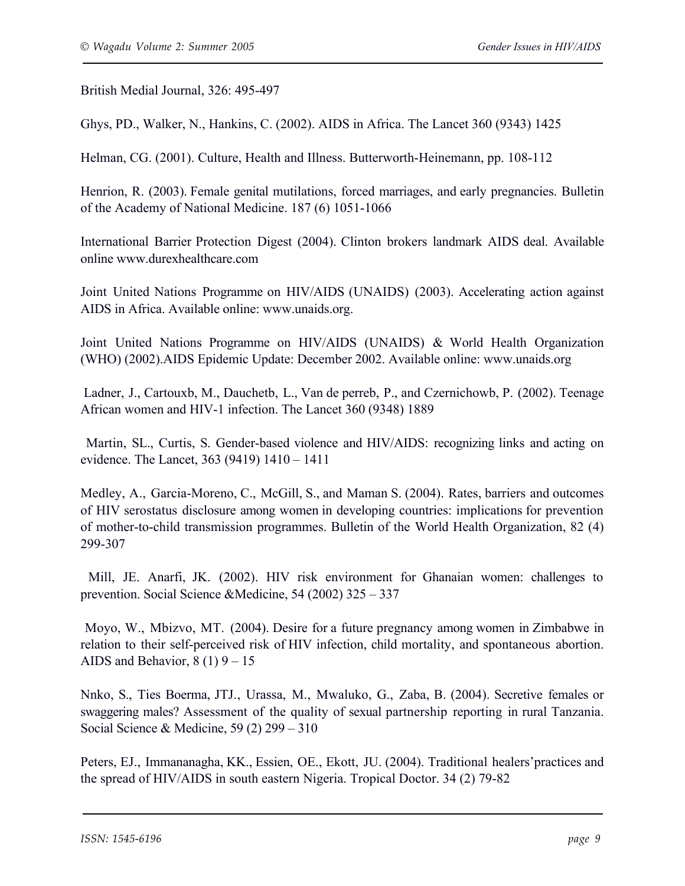British Medial Journal, 326: 495-497

Ghys, PD., Walker, N., Hankins, C. (2002). AIDS in Africa. The Lancet 360 (9343) 1425

Helman, CG. (2001). Culture, Health and Illness. Butterworth-Heinemann, pp. 108-112

Henrion, R. (2003). Female genital mutilations, forced marriages, and early pregnancies. Bulletin of the Academy of National Medicine. 187 (6) 1051-1066

International Barrier Protection Digest (2004). Clinton brokers landmark AIDS deal. Available online www.durexhealthcare.com

Joint United Nations Programme on HIV/AIDS (UNAIDS) (2003). Accelerating action against AIDS in Africa. Available online: www.unaids.org.

Joint United Nations Programme on HIV/AIDS (UNAIDS) & World Health Organization (WHO) (2002).AIDS Epidemic Update: December 2002. Available online: www.unaids.org

 Ladner, J., Cartouxb, M., Dauchetb, L., Van de perreb, P., and Czernichowb, P. (2002). Teenage African women and HIV-1 infection. The Lancet 360 (9348) 1889

Martin, SL., Curtis, S. Gender-based violence and HIV/AIDS: recognizing links and acting on evidence. The Lancet, 363 (9419) 1410 – 1411

Medley, A., Garcia-Moreno, C., McGill, S., and Maman S. (2004). Rates, barriers and outcomes of HIV serostatus disclosure among women in developing countries: implications for prevention of mother-to-child transmission programmes. Bulletin of the World Health Organization, 82 (4) 299-307

Mill, JE. Anarfi, JK. (2002). HIV risk environment for Ghanaian women: challenges to prevention. Social Science &Medicine, 54 (2002) 325 – 337

Moyo, W., Mbizvo, MT. (2004). Desire for a future pregnancy among women in Zimbabwe in relation to their self-perceived risk of HIV infection, child mortality, and spontaneous abortion. AIDS and Behavior,  $8(1)$  9 – 15

Nnko, S., Ties Boerma, JTJ., Urassa, M., Mwaluko, G., Zaba, B. (2004). Secretive females or swaggering males? Assessment of the quality of sexual partnership reporting in rural Tanzania. Social Science & Medicine, 59 (2) 299 – 310

Peters, EJ., Immananagha, KK., Essien, OE., Ekott, JU. (2004). Traditional healers'practices and the spread of HIV/AIDS in south eastern Nigeria. Tropical Doctor. 34 (2) 79-82